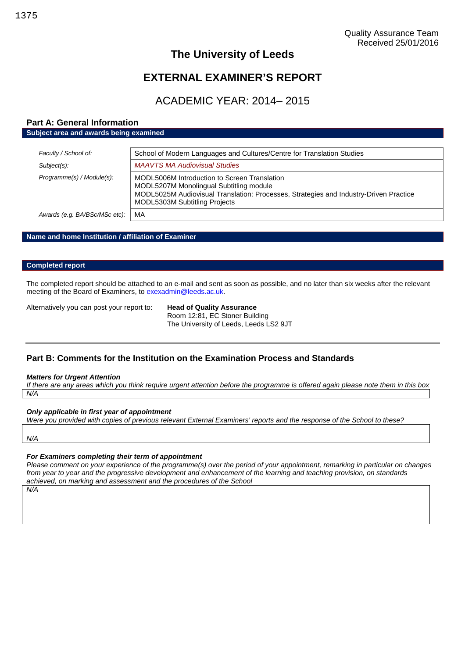## **The University of Leeds**

# **EXTERNAL EXAMINER'S REPORT**

## ACADEMIC YEAR: 2014– 2015

## **Part A: General Information Subject area and awards being examined**

| Faculty / School of:          | School of Modern Languages and Cultures/Centre for Translation Studies                                                                                                                                                   |
|-------------------------------|--------------------------------------------------------------------------------------------------------------------------------------------------------------------------------------------------------------------------|
| Subject(s):                   | <b>MAAVTS MA Audiovisual Studies</b>                                                                                                                                                                                     |
| Programme(s) / Module(s):     | MODL5006M Introduction to Screen Translation<br>MODL5207M Monolingual Subtitling module<br>MODL5025M Audiovisual Translation: Processes, Strategies and Industry-Driven Practice<br><b>MODL5303M Subtitling Projects</b> |
| Awards (e.g. BA/BSc/MSc etc): | MA                                                                                                                                                                                                                       |
|                               |                                                                                                                                                                                                                          |

## **Name and home Institution / affiliation of Examiner**

#### **Completed report**

The completed report should be attached to an e-mail and sent as soon as possible, and no later than six weeks after the relevant meeting of the Board of Examiners, to [exexadmin@leeds.ac.uk.](mailto:exexadmin@leeds.ac.uk)

Alternatively you can post your report to: **Head of Quality Assurance**

Room 12:81, EC Stoner Building The University of Leeds, Leeds LS2 9JT

## **Part B: Comments for the Institution on the Examination Process and Standards**

#### *Matters for Urgent Attention*

*If there are any areas which you think require urgent attention before the programme is offered again please note them in this box N/A*

#### *Only applicable in first year of appointment*

*Were you provided with copies of previous relevant External Examiners' reports and the response of the School to these?*

*N/A*

### *For Examiners completing their term of appointment*

*Please comment on your experience of the programme(s) over the period of your appointment, remarking in particular on changes from year to year and the progressive development and enhancement of the learning and teaching provision, on standards achieved, on marking and assessment and the procedures of the School*

*N/A*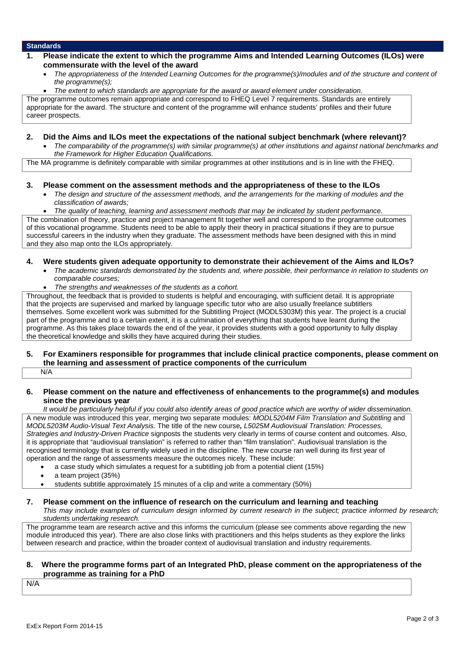## **1. Please indicate the extent to which the programme Aims and Intended Learning Outcomes (ILOs) were commensurate with the level of the award**

- *The appropriateness of the Intended Learning Outcomes for the programme(s)/modules and of the structure and content of the programme(s);*
- *The extent to which standards are appropriate for the award or award element under consideration.*

The programme outcomes remain appropriate and correspond to FHEQ Level 7 requirements. Standards are entirely appropriate for the award. The structure and content of the programme will enhance students' profiles and their future career prospects.

## **2. Did the Aims and ILOs meet the expectations of the national subject benchmark (where relevant)?**

 *The comparability of the programme(s) with similar programme(s) at other institutions and against national benchmarks and the Framework for Higher Education Qualifications.*

The MA programme is definitely comparable with similar programmes at other institutions and is in line with the FHEQ.

### **3. Please comment on the assessment methods and the appropriateness of these to the ILOs**

- *The design and structure of the assessment methods, and the arrangements for the marking of modules and the classification of awards;*
- *The quality of teaching, learning and assessment methods that may be indicated by student performance.*

The combination of theory, practice and project management fit together well and correspond to the programme outcomes of this vocational programme. Students need to be able to apply their theory in practical situations if they are to pursue successful careers in the industry when they graduate. The assessment methods have been designed with this in mind and they also map onto the ILOs appropriately.

### **4. Were students given adequate opportunity to demonstrate their achievement of the Aims and ILOs?**

- *The academic standards demonstrated by the students and, where possible, their performance in relation to students on comparable courses;*
- *The strengths and weaknesses of the students as a cohort.*

Throughout, the feedback that is provided to students is helpful and encouraging, with sufficient detail. It is appropriate that the projects are supervised and marked by language specific tutor who are also usually freelance subtitlers themselves. Some excellent work was submitted for the Subtitling Project (MODL5303M) this year. The project is a crucial part of the programme and to a certain extent, it is a culmination of everything that students have learnt during the programme. As this takes place towards the end of the year, it provides students with a good opportunity to fully display the theoretical knowledge and skills they have acquired during their studies.

#### **5. For Examiners responsible for programmes that include clinical practice components, please comment on the learning and assessment of practice components of the curriculum** N/A

### **6. Please comment on the nature and effectiveness of enhancements to the programme(s) and modules since the previous year**

*It would be particularly helpful if you could also identify areas of good practice which are worthy of wider dissemination.* A new module was introduced this year, merging two separate modules: *MODL5204M Film Translation and Subtitling* and *MODL5203M Audio-Visual Text Analysis.* The title of the new course*, L5025M Audiovisual Translation: Processes, Strategies and Industry-Driven Practice* signposts the students very clearly in terms of course content and outcomes. Also, it is appropriate that "audiovisual translation" is referred to rather than "film translation". Audiovisual translation is the recognised terminology that is currently widely used in the discipline. The new course ran well during its first year of operation and the range of assessments measure the outcomes nicely. These include:

- a case study which simulates a request for a subtitling job from a potential client (15%)
- a team project (35%)
- students subtitle approximately 15 minutes of a clip and write a commentary (50%)
- **7. Please comment on the influence of research on the curriculum and learning and teaching** *This may include examples of curriculum design informed by current research in the subject; practice informed by research; students undertaking research.*

The programme team are research active and this informs the curriculum (please see comments above regarding the new module introduced this year). There are also close links with practitioners and this helps students as they explore the links between research and practice, within the broader context of audiovisual translation and industry requirements.

#### **8. Where the programme forms part of an Integrated PhD, please comment on the appropriateness of the programme as training for a PhD**

N/A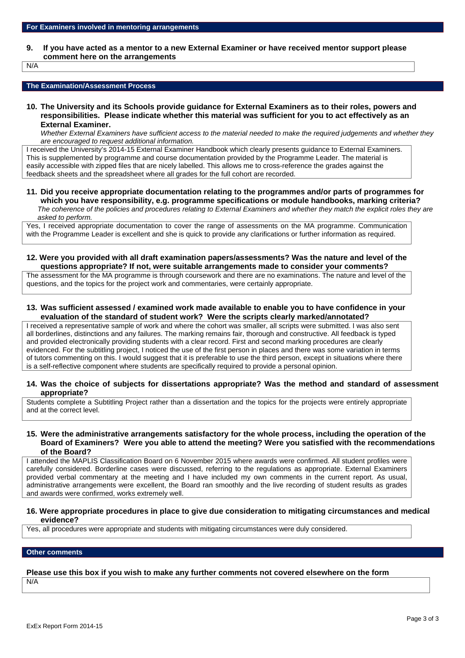**9. If you have acted as a mentor to a new External Examiner or have received mentor support please comment here on the arrangements**

N/A

#### **The Examination/Assessment Process**

**10. The University and its Schools provide guidance for External Examiners as to their roles, powers and responsibilities. Please indicate whether this material was sufficient for you to act effectively as an External Examiner.**

*Whether External Examiners have sufficient access to the material needed to make the required judgements and whether they are encouraged to request additional information.*

I received the University's 2014-15 External Examiner Handbook which clearly presents guidance to External Examiners. This is supplemented by programme and course documentation provided by the Programme Leader. The material is easily accessible with zipped files that are nicely labelled. This allows me to cross-reference the grades against the feedback sheets and the spreadsheet where all grades for the full cohort are recorded.

**11. Did you receive appropriate documentation relating to the programmes and/or parts of programmes for which you have responsibility, e.g. programme specifications or module handbooks, marking criteria?** *The coherence of the policies and procedures relating to External Examiners and whether they match the explicit roles they are asked to perform.*

Yes, I received appropriate documentation to cover the range of assessments on the MA programme. Communication with the Programme Leader is excellent and she is quick to provide any clarifications or further information as required.

**12. Were you provided with all draft examination papers/assessments? Was the nature and level of the questions appropriate? If not, were suitable arrangements made to consider your comments?**

The assessment for the MA programme is through coursework and there are no examinations. The nature and level of the questions, and the topics for the project work and commentaries, were certainly appropriate.

**13. Was sufficient assessed / examined work made available to enable you to have confidence in your evaluation of the standard of student work? Were the scripts clearly marked/annotated?**

I received a representative sample of work and where the cohort was smaller, all scripts were submitted. I was also sent all borderlines, distinctions and any failures. The marking remains fair, thorough and constructive. All feedback is typed and provided electronically providing students with a clear record. First and second marking procedures are clearly evidenced. For the subtitling project, I noticed the use of the first person in places and there was some variation in terms of tutors commenting on this. I would suggest that it is preferable to use the third person, except in situations where there is a self-reflective component where students are specifically required to provide a personal opinion.

**14. Was the choice of subjects for dissertations appropriate? Was the method and standard of assessment appropriate?**

Students complete a Subtitling Project rather than a dissertation and the topics for the projects were entirely appropriate and at the correct level.

**15. Were the administrative arrangements satisfactory for the whole process, including the operation of the Board of Examiners? Were you able to attend the meeting? Were you satisfied with the recommendations of the Board?**

I attended the MAPLIS Classification Board on 6 November 2015 where awards were confirmed. All student profiles were carefully considered. Borderline cases were discussed, referring to the regulations as appropriate. External Examiners provided verbal commentary at the meeting and I have included my own comments in the current report. As usual, administrative arrangements were excellent, the Board ran smoothly and the live recording of student results as grades and awards were confirmed, works extremely well.

#### **16. Were appropriate procedures in place to give due consideration to mitigating circumstances and medical evidence?**

Yes, all procedures were appropriate and students with mitigating circumstances were duly considered.

#### **Other comments**

## **Please use this box if you wish to make any further comments not covered elsewhere on the form**

N/A